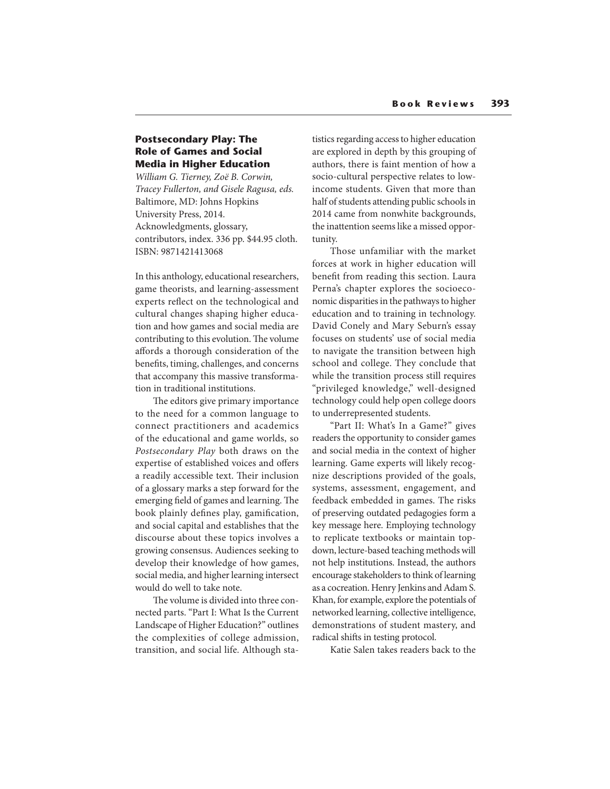## **Postsecondary Play: The Role of Games and Social Media in Higher Education**

William G. Tierney, Zoë B. Corwin, Tracey Fullerton, and Gisele Ragusa, eds. Baltimore, MD: Johns Hopkins University Press, 2014. Acknowledgments, glossary, contributors, index. 336 pp. \$44.95 cloth. ISBN: 9871421413068

In this anthology, educational researchers, game theorists, and learning-assessment experts reflect on the technological and cultural changes shaping higher education and how games and social media are contributing to this evolution. The volume affords a thorough consideration of the benefits, timing, challenges, and concerns that accompany this massive transformation in traditional institutions.

The editors give primary importance to the need for a common language to connect practitioners and academics of the educational and game worlds, so Postsecondary Play both draws on the expertise of established voices and offers a readily accessible text. Their inclusion of a glossary marks a step forward for the emerging field of games and learning. The book plainly defines play, gamification, and social capital and establishes that the discourse about these topics involves a growing consensus. Audiences seeking to develop their knowledge of how games, social media, and higher learning intersect would do well to take note.

The volume is divided into three connected parts. "Part I: What Is the Current Landscape of Higher Education?" outlines the complexities of college admission, transition, and social life. Although statistics regarding access to higher education are explored in depth by this grouping of authors, there is faint mention of how a socio-cultural perspective relates to lowincome students. Given that more than half of students attending public schools in 2014 came from nonwhite backgrounds, the inattention seems like a missed opportunity.

Those unfamiliar with the market forces at work in higher education will benefit from reading this section. Laura Perna's chapter explores the socioeconomic disparities in the pathways to higher education and to training in technology. David Conely and Mary Seburn's essay focuses on students' use of social media to navigate the transition between high school and college. They conclude that while the transition process still requires "privileged knowledge," well-designed technology could help open college doors to underrepresented students.

"Part II: What's In a Game?" gives readers the opportunity to consider games and social media in the context of higher learning. Game experts will likely recognize descriptions provided of the goals, systems, assessment, engagement, and feedback embedded in games. The risks of preserving outdated pedagogies form a key message here. Employing technology to replicate textbooks or maintain topdown, lecture-based teaching methods will not help institutions. Instead, the authors encourage stakeholders to think of learning as a cocreation. Henry Jenkins and Adam S. Khan, for example, explore the potentials of networked learning, collective intelligence, demonstrations of student mastery, and radical shifts in testing protocol.

Katie Salen takes readers back to the